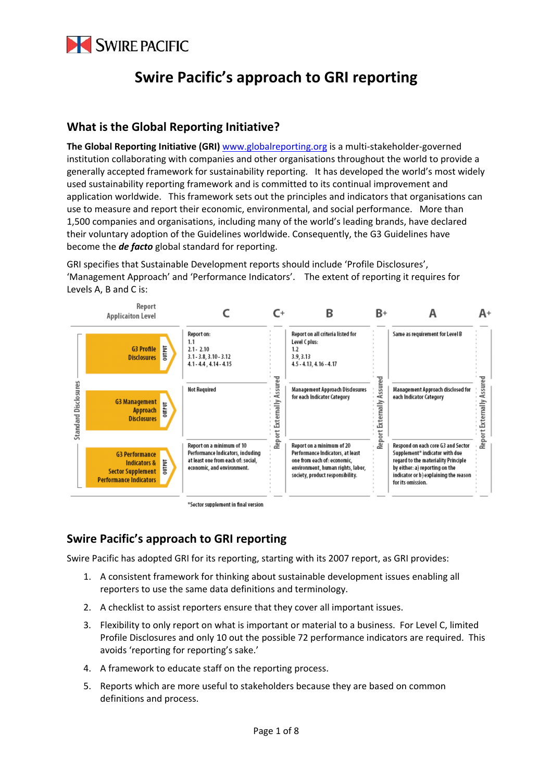

# **Swire Pacific's approach to GRI reporting**

## **What is the Global Reporting Initiative?**

**The Global Reporting Initiative (GRI)** www.globalreporting.org is a multi‐stakeholder‐governed institution collaborating with companies and other organisations throughout the world to provide a generally accepted framework for sustainability reporting. It has developed the world's most widely used sustainability reporting framework and is committed to its continual improvement and application worldwide. This framework sets out the principles and indicators that organisations can use to measure and report their economic, environmental, and social performance. More than 1,500 companies and organisations, including many of the world's leading brands, have declared their voluntary adoption of the Guidelines worldwide. Consequently, the G3 Guidelines have become the *de facto* global standard for reporting.

GRI specifies that Sustainable Development reports should include 'Profile Disclosures', 'Management Approach' and 'Performance Indicators'. The extent of reporting it requires for Levels A, B and C is:



## **Swire Pacific's approach to GRI reporting**

Swire Pacific has adopted GRI for its reporting, starting with its 2007 report, as GRI provides:

- 1. A consistent framework for thinking about sustainable development issues enabling all reporters to use the same data definitions and terminology.
- 2. A checklist to assist reporters ensure that they cover all important issues.
- 3. Flexibility to only report on what is important or material to a business. For Level C, limited Profile Disclosures and only 10 out the possible 72 performance indicators are required. This avoids 'reporting for reporting's sake.'
- 4. A framework to educate staff on the reporting process.
- 5. Reports which are more useful to stakeholders because they are based on common definitions and process.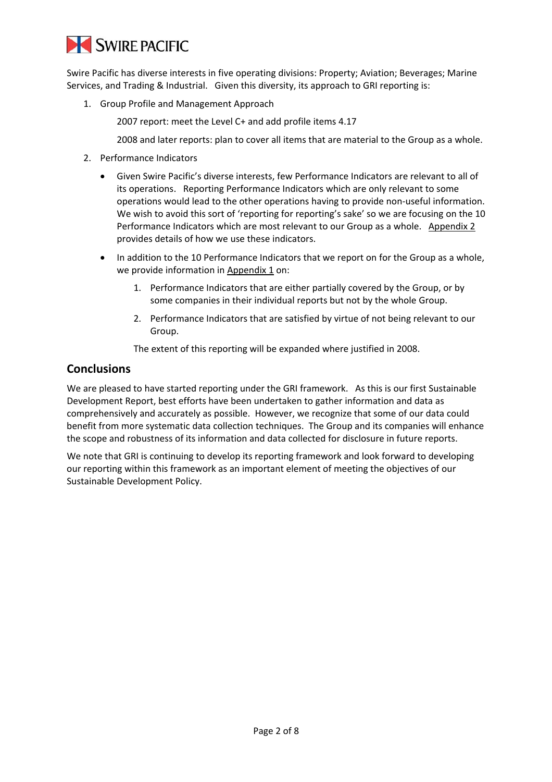

Swire Pacific has diverse interests in five operating divisions: Property; Aviation; Beverages; Marine Services, and Trading & Industrial. Given this diversity, its approach to GRI reporting is:

1. Group Profile and Management Approach

2007 report: meet the Level C+ and add profile items 4.17

2008 and later reports: plan to cover all items that are material to the Group as a whole.

- 2. Performance Indicators
	- Given Swire Pacific's diverse interests, few Performance Indicators are relevant to all of its operations. Reporting Performance Indicators which are only relevant to some operations would lead to the other operations having to provide non‐useful information. We wish to avoid this sort of 'reporting for reporting's sake' so we are focusing on the 10 Performance Indicators which are most relevant to our Group as a whole. Appendix 2 provides details of how we use these indicators.
	- In addition to the 10 Performance Indicators that we report on for the Group as a whole, we provide information in Appendix 1 on:
		- 1. Performance Indicators that are either partially covered by the Group, or by some companies in their individual reports but not by the whole Group.
		- 2. Performance Indicators that are satisfied by virtue of not being relevant to our Group.

The extent of this reporting will be expanded where justified in 2008.

### **Conclusions**

We are pleased to have started reporting under the GRI framework. As this is our first Sustainable Development Report, best efforts have been undertaken to gather information and data as comprehensively and accurately as possible. However, we recognize that some of our data could benefit from more systematic data collection techniques. The Group and its companies will enhance the scope and robustness of its information and data collected for disclosure in future reports.

We note that GRI is continuing to develop its reporting framework and look forward to developing our reporting within this framework as an important element of meeting the objectives of our Sustainable Development Policy.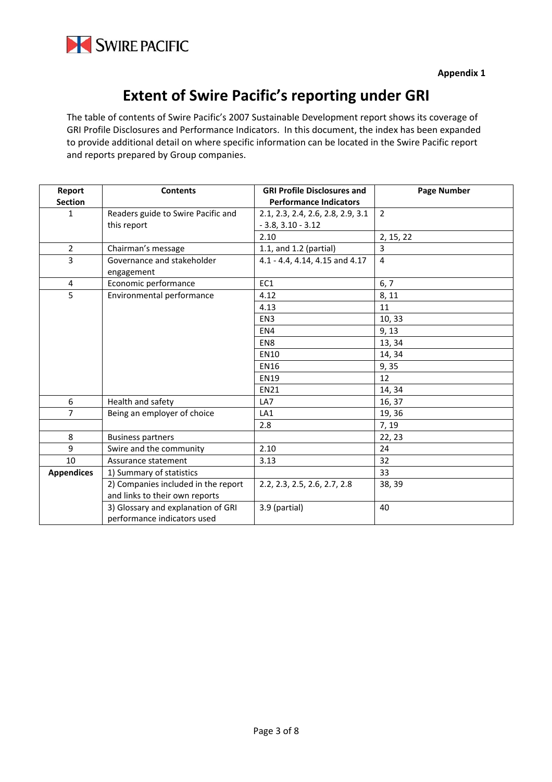

# **Extent of Swire Pacific's reporting under GRI**

The table of contents of Swire Pacific's 2007 Sustainable Development report shows its coverage of GRI Profile Disclosures and Performance Indicators. In this document, the index has been expanded to provide additional detail on where specific information can be located in the Swire Pacific report and reports prepared by Group companies.

| Report            | <b>Contents</b>                                                       | <b>GRI Profile Disclosures and</b> | <b>Page Number</b> |
|-------------------|-----------------------------------------------------------------------|------------------------------------|--------------------|
| <b>Section</b>    |                                                                       | <b>Performance Indicators</b>      |                    |
| $\mathbf{1}$      | Readers guide to Swire Pacific and                                    | 2.1, 2.3, 2.4, 2.6, 2.8, 2.9, 3.1  | $\overline{2}$     |
|                   | this report                                                           | $-3.8, 3.10 - 3.12$                |                    |
|                   |                                                                       | 2.10                               | 2, 15, 22          |
| $\overline{2}$    | Chairman's message                                                    | 1.1, and 1.2 (partial)             | 3                  |
| 3                 | Governance and stakeholder<br>engagement                              | 4.1 - 4.4, 4.14, 4.15 and 4.17     | $\overline{4}$     |
| 4                 | Economic performance                                                  | EC1                                | 6, 7               |
| 5                 | Environmental performance                                             | 4.12                               | 8, 11              |
|                   |                                                                       | 4.13                               | 11                 |
|                   |                                                                       | EN <sub>3</sub>                    | 10,33              |
|                   |                                                                       | EN4                                | 9, 13              |
|                   |                                                                       | EN8                                | 13, 34             |
|                   |                                                                       | <b>EN10</b>                        | 14, 34             |
|                   |                                                                       | <b>EN16</b>                        | 9,35               |
|                   |                                                                       | <b>EN19</b>                        | 12                 |
|                   |                                                                       | <b>EN21</b>                        | 14, 34             |
| 6                 | Health and safety                                                     | LA7                                | 16, 37             |
| 7                 | Being an employer of choice                                           | LA1                                | 19, 36             |
|                   |                                                                       | 2.8                                | 7, 19              |
| 8                 | <b>Business partners</b>                                              |                                    | 22, 23             |
| 9                 | Swire and the community                                               | 2.10                               | 24                 |
| 10                | Assurance statement                                                   | 3.13                               | 32                 |
| <b>Appendices</b> | 1) Summary of statistics                                              |                                    | 33                 |
|                   | 2) Companies included in the report<br>and links to their own reports | 2.2, 2.3, 2.5, 2.6, 2.7, 2.8       | 38, 39             |
|                   | 3) Glossary and explanation of GRI<br>performance indicators used     | 3.9 (partial)                      | 40                 |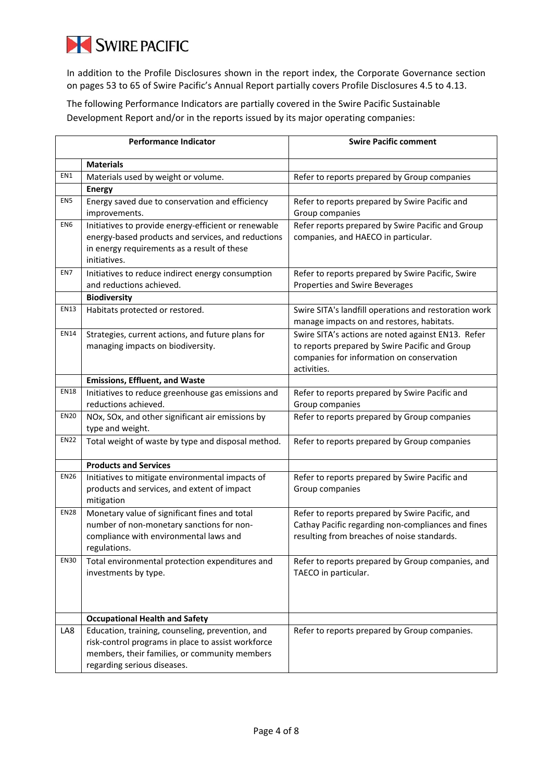# SWIRE PACIFIC

In addition to the Profile Disclosures shown in the report index, the Corporate Governance section on pages 53 to 65 of Swire Pacific's Annual Report partially covers Profile Disclosures 4.5 to 4.13.

The following Performance Indicators are partially covered in the Swire Pacific Sustainable Development Report and/or in the reports issued by its major operating companies:

| <b>Performance Indicator</b> |                                                                                                        | <b>Swire Pacific comment</b>                                                                       |  |
|------------------------------|--------------------------------------------------------------------------------------------------------|----------------------------------------------------------------------------------------------------|--|
|                              | <b>Materials</b>                                                                                       |                                                                                                    |  |
| EN1                          | Materials used by weight or volume.                                                                    | Refer to reports prepared by Group companies                                                       |  |
|                              | <b>Energy</b>                                                                                          |                                                                                                    |  |
| EN <sub>5</sub>              | Energy saved due to conservation and efficiency                                                        | Refer to reports prepared by Swire Pacific and                                                     |  |
|                              | improvements.                                                                                          | Group companies                                                                                    |  |
| EN <sub>6</sub>              | Initiatives to provide energy-efficient or renewable                                                   | Refer reports prepared by Swire Pacific and Group                                                  |  |
|                              | energy-based products and services, and reductions                                                     | companies, and HAECO in particular.                                                                |  |
|                              | in energy requirements as a result of these                                                            |                                                                                                    |  |
|                              | initiatives.                                                                                           |                                                                                                    |  |
| EN7                          | Initiatives to reduce indirect energy consumption                                                      | Refer to reports prepared by Swire Pacific, Swire                                                  |  |
|                              | and reductions achieved.                                                                               | Properties and Swire Beverages                                                                     |  |
| <b>EN13</b>                  | <b>Biodiversity</b>                                                                                    |                                                                                                    |  |
|                              | Habitats protected or restored.                                                                        | Swire SITA's landfill operations and restoration work<br>manage impacts on and restores, habitats. |  |
| <b>EN14</b>                  | Strategies, current actions, and future plans for                                                      | Swire SITA's actions are noted against EN13. Refer                                                 |  |
|                              | managing impacts on biodiversity.                                                                      | to reports prepared by Swire Pacific and Group                                                     |  |
|                              |                                                                                                        | companies for information on conservation                                                          |  |
|                              |                                                                                                        | activities.                                                                                        |  |
|                              | <b>Emissions, Effluent, and Waste</b>                                                                  |                                                                                                    |  |
| <b>EN18</b>                  | Initiatives to reduce greenhouse gas emissions and                                                     | Refer to reports prepared by Swire Pacific and                                                     |  |
|                              | reductions achieved.                                                                                   | Group companies                                                                                    |  |
| <b>EN20</b>                  | NOx, SOx, and other significant air emissions by                                                       | Refer to reports prepared by Group companies                                                       |  |
| <b>EN22</b>                  | type and weight.                                                                                       |                                                                                                    |  |
|                              | Total weight of waste by type and disposal method.                                                     | Refer to reports prepared by Group companies                                                       |  |
|                              | <b>Products and Services</b>                                                                           |                                                                                                    |  |
| <b>EN26</b>                  | Initiatives to mitigate environmental impacts of                                                       | Refer to reports prepared by Swire Pacific and                                                     |  |
|                              | products and services, and extent of impact                                                            | Group companies                                                                                    |  |
|                              | mitigation                                                                                             |                                                                                                    |  |
| <b>EN28</b>                  | Monetary value of significant fines and total                                                          | Refer to reports prepared by Swire Pacific, and                                                    |  |
|                              | number of non-monetary sanctions for non-<br>compliance with environmental laws and                    | Cathay Pacific regarding non-compliances and fines<br>resulting from breaches of noise standards.  |  |
|                              | regulations.                                                                                           |                                                                                                    |  |
| <b>EN30</b>                  | Total environmental protection expenditures and                                                        | Refer to reports prepared by Group companies, and                                                  |  |
|                              | investments by type.                                                                                   | TAECO in particular.                                                                               |  |
|                              |                                                                                                        |                                                                                                    |  |
|                              |                                                                                                        |                                                                                                    |  |
|                              |                                                                                                        |                                                                                                    |  |
|                              | <b>Occupational Health and Safety</b>                                                                  | Refer to reports prepared by Group companies.                                                      |  |
| LA8                          | Education, training, counseling, prevention, and<br>risk-control programs in place to assist workforce |                                                                                                    |  |
|                              | members, their families, or community members                                                          |                                                                                                    |  |
|                              | regarding serious diseases.                                                                            |                                                                                                    |  |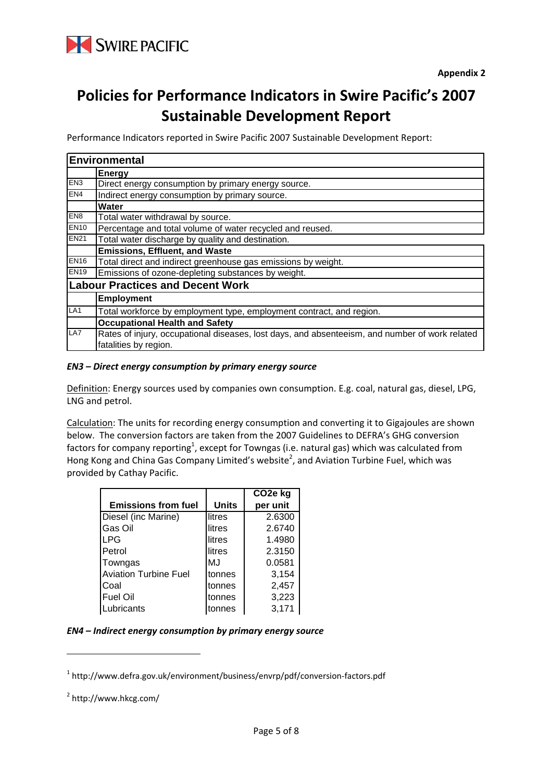

# **Policies for Performance Indicators in Swire Pacific's 2007 Sustainable Development Report**

Performance Indicators reported in Swire Pacific 2007 Sustainable Development Report:

| Environmental   |                                                                                                |  |  |  |
|-----------------|------------------------------------------------------------------------------------------------|--|--|--|
|                 | <b>Energy</b>                                                                                  |  |  |  |
| EN <sub>3</sub> | Direct energy consumption by primary energy source.                                            |  |  |  |
| EN4             | Indirect energy consumption by primary source.                                                 |  |  |  |
|                 | Water                                                                                          |  |  |  |
| EN <sub>8</sub> | Total water withdrawal by source.                                                              |  |  |  |
| <b>EN10</b>     | Percentage and total volume of water recycled and reused.                                      |  |  |  |
| <b>EN21</b>     | Total water discharge by quality and destination.                                              |  |  |  |
|                 | <b>Emissions, Effluent, and Waste</b>                                                          |  |  |  |
| ENI6            | Total direct and indirect greenhouse gas emissions by weight.                                  |  |  |  |
| <b>EN19</b>     | Emissions of ozone-depleting substances by weight.                                             |  |  |  |
|                 | <b>Labour Practices and Decent Work</b>                                                        |  |  |  |
|                 | <b>Employment</b>                                                                              |  |  |  |
| LA <sub>1</sub> | Total workforce by employment type, employment contract, and region.                           |  |  |  |
|                 | <b>Occupational Health and Safety</b>                                                          |  |  |  |
| LA7             | Rates of injury, occupational diseases, lost days, and absenteeism, and number of work related |  |  |  |
|                 | fatalities by region.                                                                          |  |  |  |

#### *EN3 – Direct energy consumption by primary energy source*

Definition: Energy sources used by companies own consumption. E.g. coal, natural gas, diesel, LPG, LNG and petrol.

Calculation: The units for recording energy consumption and converting it to Gigajoules are shown below. The conversion factors are taken from the 2007 Guidelines to DEFRA's GHG conversion factors for company reporting<sup>1</sup>, except for Towngas (i.e. natural gas) which was calculated from Hong Kong and China Gas Company Limited's website<sup>2</sup>, and Aviation Turbine Fuel, which was provided by Cathay Pacific.

|                              |              | CO <sub>2</sub> e kg |
|------------------------------|--------------|----------------------|
| <b>Emissions from fuel</b>   | <b>Units</b> | per unit             |
| Diesel (inc Marine)          | litres       | 2.6300               |
| <b>Gas Oil</b>               | litres       | 2.6740               |
| <b>LPG</b>                   | litres       | 1.4980               |
| <b>Petrol</b>                | litres       | 2.3150               |
| Towngas                      | MJ           | 0.0581               |
| <b>Aviation Turbine Fuel</b> | tonnes       | 3,154                |
| Coal                         | tonnes       | 2,457                |
| Fuel Oil                     | tonnes       | 3,223                |
| Lubricants                   | tonnes       | 3,171                |

#### *EN4 – Indirect energy consumption by primary energy source*

<sup>1</sup> http://www.defra.gov.uk/environment/business/envrp/pdf/conversion‐factors.pdf

<sup>2</sup> http://www.hkcg.com/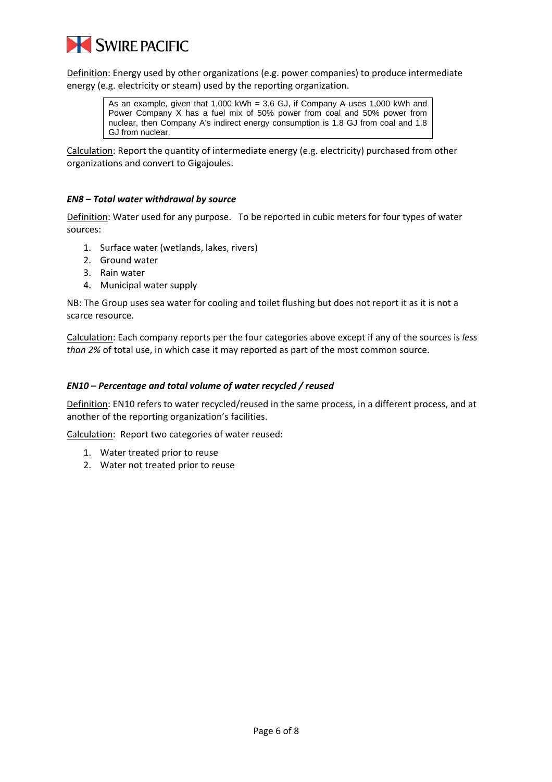

Definition: Energy used by other organizations (e.g. power companies) to produce intermediate energy (e.g. electricity or steam) used by the reporting organization.

> As an example, given that 1,000 kWh = 3.6 GJ, if Company A uses 1,000 kWh and Power Company X has a fuel mix of 50% power from coal and 50% power from nuclear, then Company A's indirect energy consumption is 1.8 GJ from coal and 1.8 GJ from nuclear.

Calculation: Report the quantity of intermediate energy (e.g. electricity) purchased from other organizations and convert to Gigajoules.

#### *EN8 – Total water withdrawal by source*

Definition: Water used for any purpose. To be reported in cubic meters for four types of water sources:

- 1. Surface water (wetlands, lakes, rivers)
- 2. Ground water
- 3. Rain water
- 4. Municipal water supply

NB: The Group uses sea water for cooling and toilet flushing but does not report it as it is not a scarce resource.

Calculation: Each company reports per the four categories above except if any of the sources is *less than 2%* of total use, in which case it may reported as part of the most common source.

#### *EN10 – Percentage and total volume of water recycled / reused*

Definition: EN10 refers to water recycled/reused in the same process, in a different process, and at another of the reporting organization's facilities.

Calculation: Report two categories of water reused:

- 1. Water treated prior to reuse
- 2. Water not treated prior to reuse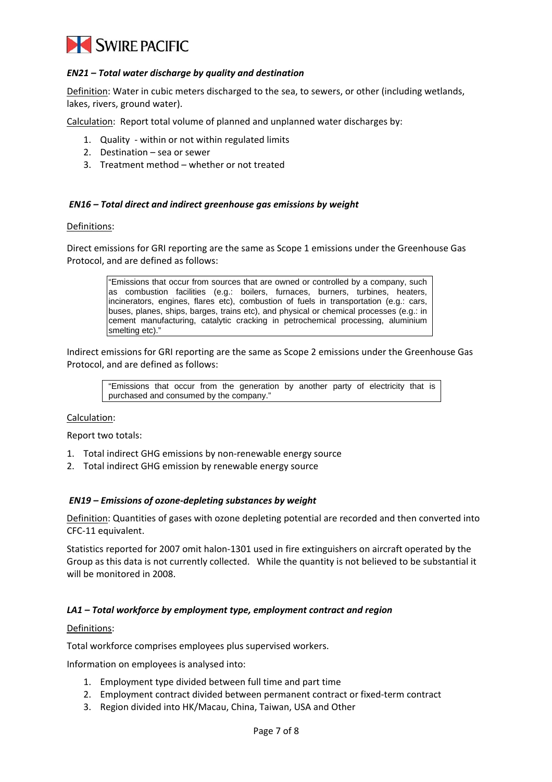

#### *EN21 – Total water discharge by quality and destination*

Definition: Water in cubic meters discharged to the sea, to sewers, or other (including wetlands, lakes, rivers, ground water).

Calculation: Report total volume of planned and unplanned water discharges by:

- 1. Quality within or not within regulated limits
- 2. Destination sea or sewer
- 3. Treatment method whether or not treated

#### *EN16 – Total direct and indirect greenhouse gas emissions by weight*

Definitions:

Direct emissions for GRI reporting are the same as Scope 1 emissions under the Greenhouse Gas Protocol, and are defined as follows:

> "Emissions that occur from sources that are owned or controlled by a company, such as combustion facilities (e.g.: boilers, furnaces, burners, turbines, heaters, incinerators, engines, flares etc), combustion of fuels in transportation (e.g.: cars, buses, planes, ships, barges, trains etc), and physical or chemical processes (e.g.: in cement manufacturing, catalytic cracking in petrochemical processing, aluminium smelting etc)."

Indirect emissions for GRI reporting are the same as Scope 2 emissions under the Greenhouse Gas Protocol, and are defined as follows:

"Emissions that occur from the generation by another party of electricity that is purchased and consumed by the company."

#### Calculation:

Report two totals:

- 1. Total indirect GHG emissions by non-renewable energy source
- 2. Total indirect GHG emission by renewable energy source

#### *EN19 – Emissions of ozone‐depleting substances by weight*

Definition: Quantities of gases with ozone depleting potential are recorded and then converted into CFC‐11 equivalent.

Statistics reported for 2007 omit halon‐1301 used in fire extinguishers on aircraft operated by the Group as this data is not currently collected. While the quantity is not believed to be substantial it will be monitored in 2008.

#### *LA1 – Total workforce by employment type, employment contract and region*

#### Definitions:

Total workforce comprises employees plus supervised workers.

Information on employees is analysed into:

- 1. Employment type divided between full time and part time
- 2. Employment contract divided between permanent contract or fixed‐term contract
- 3. Region divided into HK/Macau, China, Taiwan, USA and Other